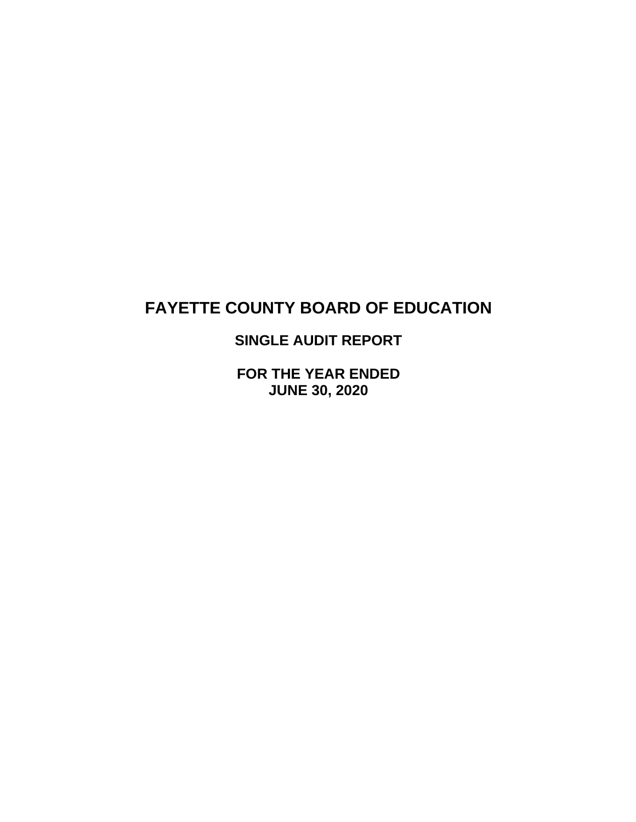**SINGLE AUDIT REPORT** 

**FOR THE YEAR ENDED JUNE 30, 2020**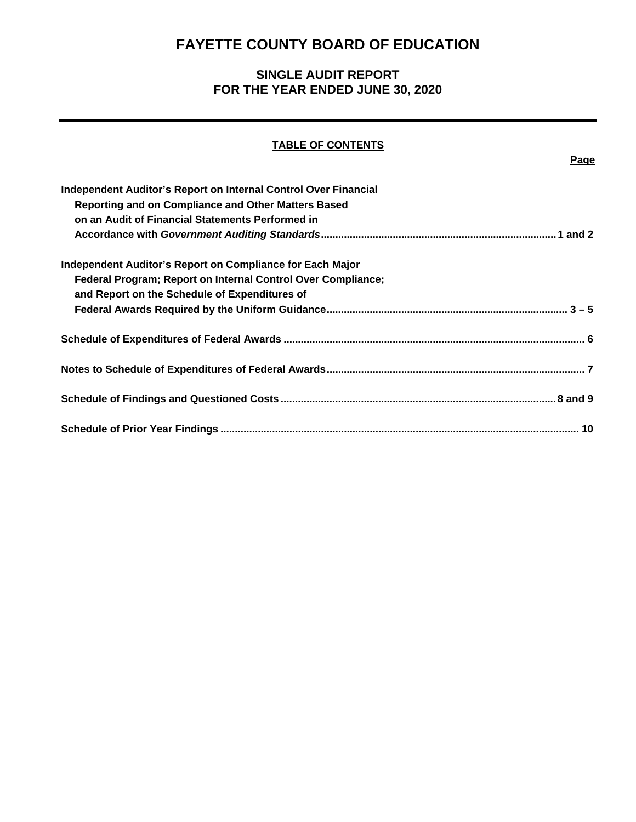# **SINGLE AUDIT REPORT FOR THE YEAR ENDED JUNE 30, 2020**

## **TABLE OF CONTENTS**

**Page**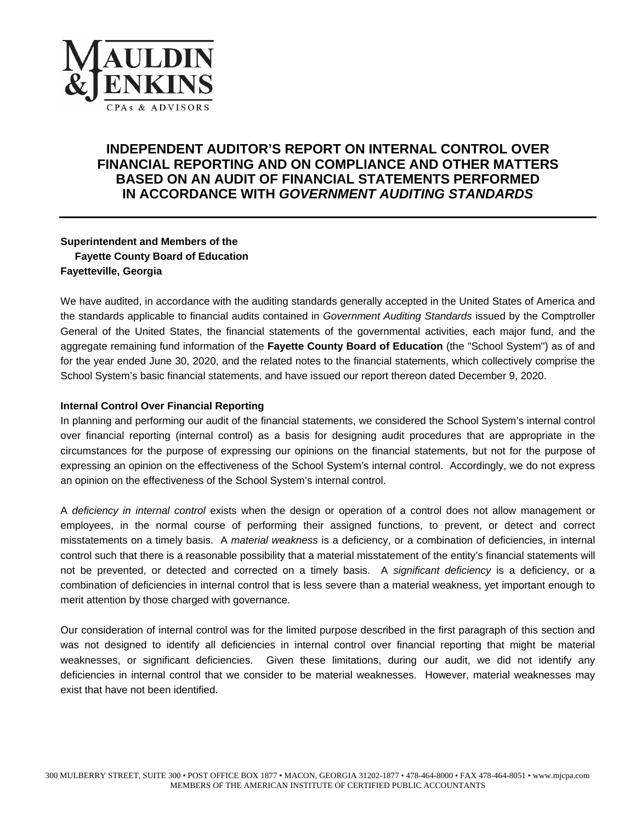

# **INDEPENDENT AUDITOR'S REPORT ON INTERNAL CONTROL OVER FINANCIAL REPORTING AND ON COMPLIANCE AND OTHER MATTERS BASED ON AN AUDIT OF FINANCIAL STATEMENTS PERFORMED IN ACCORDANCE WITH** *GOVERNMENT AUDITING STANDARDS*

## **Superintendent and Members of the Fayette County Board of Education Fayetteville, Georgia**

We have audited, in accordance with the auditing standards generally accepted in the United States of America and the standards applicable to financial audits contained in *Government Auditing Standards* issued by the Comptroller General of the United States, the financial statements of the governmental activities, each major fund, and the aggregate remaining fund information of the **Fayette County Board of Education** (the "School System") as of and for the year ended June 30, 2020, and the related notes to the financial statements, which collectively comprise the School System's basic financial statements, and have issued our report thereon dated December 9, 2020.

#### **Internal Control Over Financial Reporting**

In planning and performing our audit of the financial statements, we considered the School System's internal control over financial reporting (internal control) as a basis for designing audit procedures that are appropriate in the circumstances for the purpose of expressing our opinions on the financial statements, but not for the purpose of expressing an opinion on the effectiveness of the School System's internal control. Accordingly, we do not express an opinion on the effectiveness of the School System's internal control.

A *deficiency in internal control* exists when the design or operation of a control does not allow management or employees, in the normal course of performing their assigned functions, to prevent, or detect and correct misstatements on a timely basis. A *material weakness* is a deficiency, or a combination of deficiencies, in internal control such that there is a reasonable possibility that a material misstatement of the entity's financial statements will not be prevented, or detected and corrected on a timely basis. A *significant deficiency* is a deficiency, or a combination of deficiencies in internal control that is less severe than a material weakness, yet important enough to merit attention by those charged with governance.

Our consideration of internal control was for the limited purpose described in the first paragraph of this section and was not designed to identify all deficiencies in internal control over financial reporting that might be material weaknesses, or significant deficiencies. Given these limitations, during our audit, we did not identify any deficiencies in internal control that we consider to be material weaknesses. However, material weaknesses may exist that have not been identified.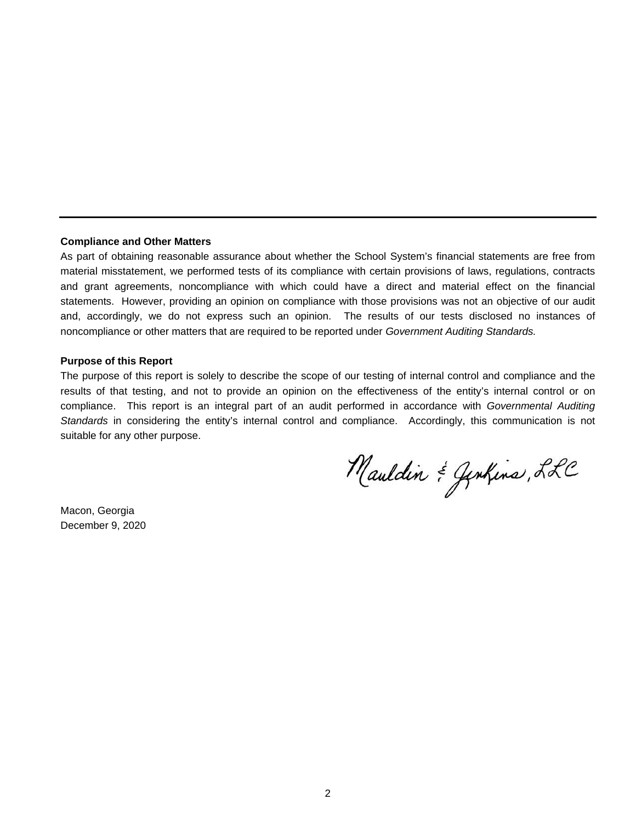#### **Compliance and Other Matters**

As part of obtaining reasonable assurance about whether the School System's financial statements are free from material misstatement, we performed tests of its compliance with certain provisions of laws, regulations, contracts and grant agreements, noncompliance with which could have a direct and material effect on the financial statements. However, providing an opinion on compliance with those provisions was not an objective of our audit and, accordingly, we do not express such an opinion. The results of our tests disclosed no instances of noncompliance or other matters that are required to be reported under *Government Auditing Standards.* 

#### **Purpose of this Report**

The purpose of this report is solely to describe the scope of our testing of internal control and compliance and the results of that testing, and not to provide an opinion on the effectiveness of the entity's internal control or on compliance. This report is an integral part of an audit performed in accordance with *Governmental Auditing Standards* in considering the entity's internal control and compliance. Accordingly, this communication is not suitable for any other purpose.

Mauldin & Genhins, LLC

Macon, Georgia December 9, 2020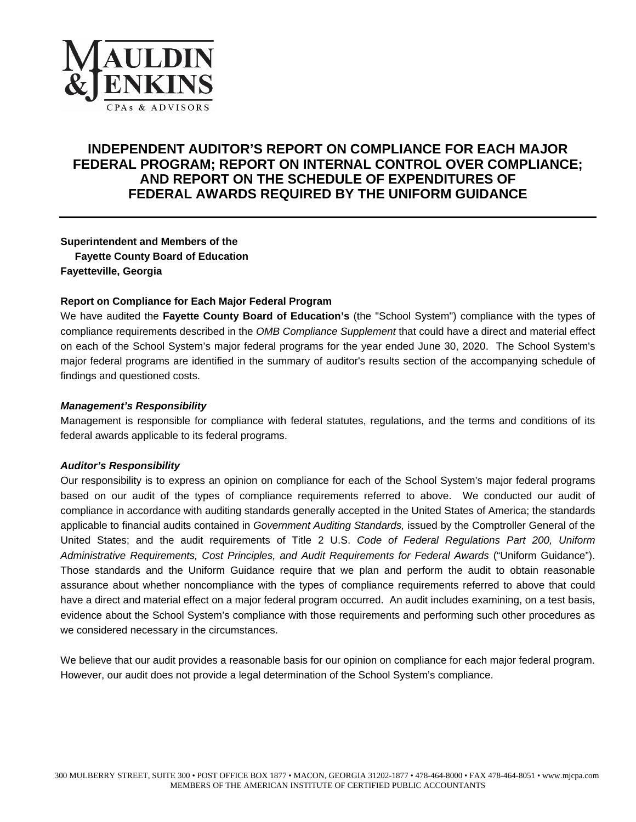

# **INDEPENDENT AUDITOR'S REPORT ON COMPLIANCE FOR EACH MAJOR FEDERAL PROGRAM; REPORT ON INTERNAL CONTROL OVER COMPLIANCE; AND REPORT ON THE SCHEDULE OF EXPENDITURES OF FEDERAL AWARDS REQUIRED BY THE UNIFORM GUIDANCE**

**Superintendent and Members of the Fayette County Board of Education Fayetteville, Georgia** 

#### **Report on Compliance for Each Major Federal Program**

We have audited the **Fayette County Board of Education's** (the "School System") compliance with the types of compliance requirements described in the *OMB Compliance Supplement* that could have a direct and material effect on each of the School System's major federal programs for the year ended June 30, 2020. The School System's major federal programs are identified in the summary of auditor's results section of the accompanying schedule of findings and questioned costs.

#### *Management's Responsibility*

Management is responsible for compliance with federal statutes, regulations, and the terms and conditions of its federal awards applicable to its federal programs.

#### *Auditor's Responsibility*

Our responsibility is to express an opinion on compliance for each of the School System's major federal programs based on our audit of the types of compliance requirements referred to above. We conducted our audit of compliance in accordance with auditing standards generally accepted in the United States of America; the standards applicable to financial audits contained in *Government Auditing Standards,* issued by the Comptroller General of the United States; and the audit requirements of Title 2 U.S. *Code of Federal Regulations Part 200, Uniform Administrative Requirements, Cost Principles, and Audit Requirements for Federal Awards* ("Uniform Guidance"). Those standards and the Uniform Guidance require that we plan and perform the audit to obtain reasonable assurance about whether noncompliance with the types of compliance requirements referred to above that could have a direct and material effect on a major federal program occurred. An audit includes examining, on a test basis, evidence about the School System's compliance with those requirements and performing such other procedures as we considered necessary in the circumstances.

We believe that our audit provides a reasonable basis for our opinion on compliance for each major federal program. However, our audit does not provide a legal determination of the School System's compliance.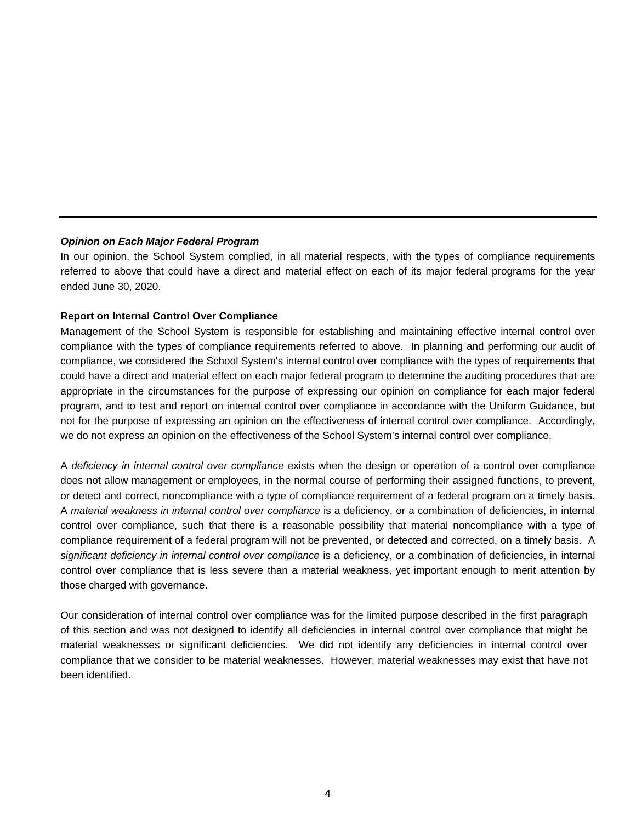#### *Opinion on Each Major Federal Program*

In our opinion, the School System complied, in all material respects, with the types of compliance requirements referred to above that could have a direct and material effect on each of its major federal programs for the year ended June 30, 2020.

#### **Report on Internal Control Over Compliance**

Management of the School System is responsible for establishing and maintaining effective internal control over compliance with the types of compliance requirements referred to above. In planning and performing our audit of compliance, we considered the School System's internal control over compliance with the types of requirements that could have a direct and material effect on each major federal program to determine the auditing procedures that are appropriate in the circumstances for the purpose of expressing our opinion on compliance for each major federal program, and to test and report on internal control over compliance in accordance with the Uniform Guidance, but not for the purpose of expressing an opinion on the effectiveness of internal control over compliance. Accordingly, we do not express an opinion on the effectiveness of the School System's internal control over compliance.

A *deficiency in internal control over compliance* exists when the design or operation of a control over compliance does not allow management or employees, in the normal course of performing their assigned functions, to prevent, or detect and correct, noncompliance with a type of compliance requirement of a federal program on a timely basis. A *material weakness in internal control over compliance* is a deficiency, or a combination of deficiencies, in internal control over compliance, such that there is a reasonable possibility that material noncompliance with a type of compliance requirement of a federal program will not be prevented, or detected and corrected, on a timely basis. A significant deficiency in internal control over compliance is a deficiency, or a combination of deficiencies, in internal control over compliance that is less severe than a material weakness, yet important enough to merit attention by those charged with governance.

Our consideration of internal control over compliance was for the limited purpose described in the first paragraph of this section and was not designed to identify all deficiencies in internal control over compliance that might be material weaknesses or significant deficiencies. We did not identify any deficiencies in internal control over compliance that we consider to be material weaknesses. However, material weaknesses may exist that have not been identified.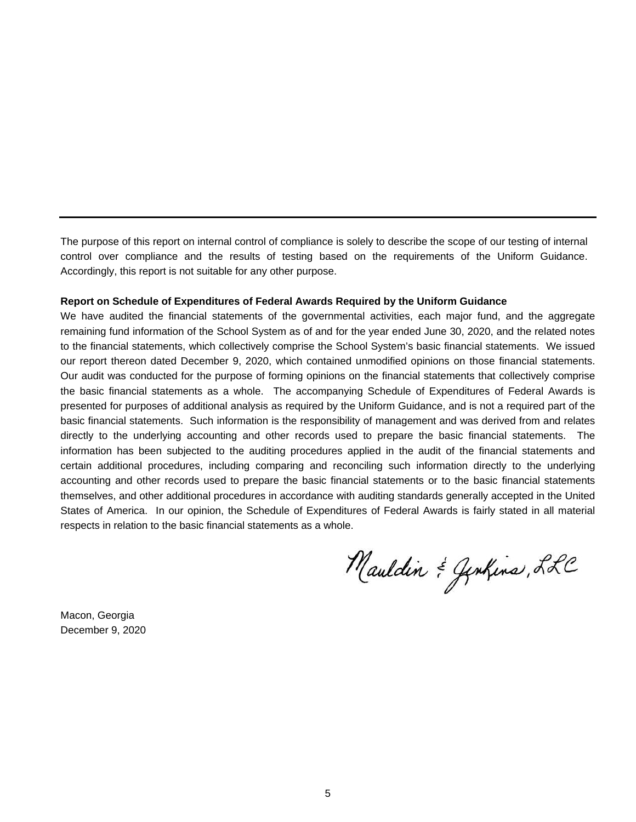The purpose of this report on internal control of compliance is solely to describe the scope of our testing of internal control over compliance and the results of testing based on the requirements of the Uniform Guidance. Accordingly, this report is not suitable for any other purpose.

#### **Report on Schedule of Expenditures of Federal Awards Required by the Uniform Guidance**

We have audited the financial statements of the governmental activities, each major fund, and the aggregate remaining fund information of the School System as of and for the year ended June 30, 2020, and the related notes to the financial statements, which collectively comprise the School System's basic financial statements. We issued our report thereon dated December 9, 2020, which contained unmodified opinions on those financial statements. Our audit was conducted for the purpose of forming opinions on the financial statements that collectively comprise the basic financial statements as a whole. The accompanying Schedule of Expenditures of Federal Awards is presented for purposes of additional analysis as required by the Uniform Guidance, and is not a required part of the basic financial statements. Such information is the responsibility of management and was derived from and relates directly to the underlying accounting and other records used to prepare the basic financial statements. The information has been subjected to the auditing procedures applied in the audit of the financial statements and certain additional procedures, including comparing and reconciling such information directly to the underlying accounting and other records used to prepare the basic financial statements or to the basic financial statements themselves, and other additional procedures in accordance with auditing standards generally accepted in the United States of America. In our opinion, the Schedule of Expenditures of Federal Awards is fairly stated in all material respects in relation to the basic financial statements as a whole.

Mauldin & Genhins, LLC

Macon, Georgia December 9, 2020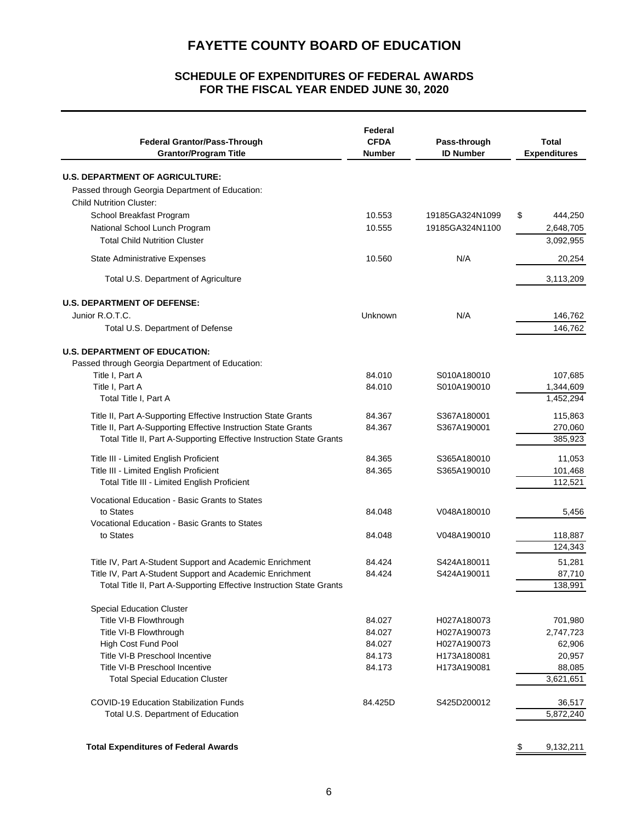### **FOR THE FISCAL YEAR ENDED JUNE 30, 2020 SCHEDULE OF EXPENDITURES OF FEDERAL AWARDS**

| <b>Federal Grantor/Pass-Through</b><br><b>Grantor/Program Title</b>  | Federal<br><b>CFDA</b><br><b>Number</b> | Pass-through<br><b>ID Number</b> | <b>Total</b><br><b>Expenditures</b> |
|----------------------------------------------------------------------|-----------------------------------------|----------------------------------|-------------------------------------|
| <b>U.S. DEPARTMENT OF AGRICULTURE:</b>                               |                                         |                                  |                                     |
| Passed through Georgia Department of Education:                      |                                         |                                  |                                     |
| <b>Child Nutrition Cluster:</b>                                      |                                         |                                  |                                     |
| School Breakfast Program                                             | 10.553                                  | 19185GA324N1099                  | \$<br>444,250                       |
| National School Lunch Program                                        | 10.555                                  | 19185GA324N1100                  | 2,648,705                           |
| <b>Total Child Nutrition Cluster</b>                                 |                                         |                                  | 3,092,955                           |
| <b>State Administrative Expenses</b>                                 | 10.560                                  | N/A                              | 20,254                              |
| Total U.S. Department of Agriculture                                 |                                         |                                  | 3,113,209                           |
| <b>U.S. DEPARTMENT OF DEFENSE:</b>                                   |                                         |                                  |                                     |
| Junior R.O.T.C.                                                      | Unknown                                 | N/A                              | 146,762                             |
| Total U.S. Department of Defense                                     |                                         |                                  | 146,762                             |
| <b>U.S. DEPARTMENT OF EDUCATION:</b>                                 |                                         |                                  |                                     |
| Passed through Georgia Department of Education:                      |                                         |                                  |                                     |
| Title I, Part A                                                      | 84.010                                  | S010A180010                      | 107,685                             |
| Title I, Part A                                                      | 84.010                                  | S010A190010                      | 1,344,609                           |
| Total Title I, Part A                                                |                                         |                                  | 1,452,294                           |
| Title II, Part A-Supporting Effective Instruction State Grants       | 84.367                                  | S367A180001                      | 115,863                             |
| Title II, Part A-Supporting Effective Instruction State Grants       | 84.367                                  | S367A190001                      | 270,060                             |
| Total Title II, Part A-Supporting Effective Instruction State Grants |                                         |                                  | 385,923                             |
| Title III - Limited English Proficient                               | 84.365                                  | S365A180010                      | 11,053                              |
| Title III - Limited English Proficient                               | 84.365                                  | S365A190010                      | 101,468                             |
| Total Title III - Limited English Proficient                         |                                         |                                  | 112,521                             |
| Vocational Education - Basic Grants to States                        |                                         |                                  |                                     |
| to States                                                            | 84.048                                  | V048A180010                      | 5,456                               |
| Vocational Education - Basic Grants to States                        |                                         |                                  |                                     |
| to States                                                            | 84.048                                  | V048A190010                      | 118,887                             |
|                                                                      |                                         |                                  | 124,343                             |
| Title IV, Part A-Student Support and Academic Enrichment             | 84.424                                  | S424A180011                      | 51,281                              |
| Title IV, Part A-Student Support and Academic Enrichment             | 84.424                                  | S424A190011                      | 87,710                              |
| Total Title II, Part A-Supporting Effective Instruction State Grants |                                         |                                  | 138,991                             |
| <b>Special Education Cluster</b>                                     |                                         |                                  |                                     |
| Title VI-B Flowthrough                                               | 84.027                                  | H027A180073                      | 701,980                             |
| Title VI-B Flowthrough                                               | 84.027                                  | H027A190073                      | 2,747,723                           |
| High Cost Fund Pool                                                  | 84.027                                  | H027A190073                      | 62,906                              |
| Title VI-B Preschool Incentive                                       | 84.173                                  | H173A180081                      | 20,957                              |
| Title VI-B Preschool Incentive                                       | 84.173                                  | H173A190081                      | 88,085                              |
| <b>Total Special Education Cluster</b>                               |                                         |                                  | 3,621,651                           |
| <b>COVID-19 Education Stabilization Funds</b>                        | 84.425D                                 | S425D200012                      | 36,517                              |
| Total U.S. Department of Education                                   |                                         |                                  | 5,872,240                           |
|                                                                      |                                         |                                  |                                     |
| <b>Total Expenditures of Federal Awards</b>                          |                                         |                                  | \$<br>9,132,211                     |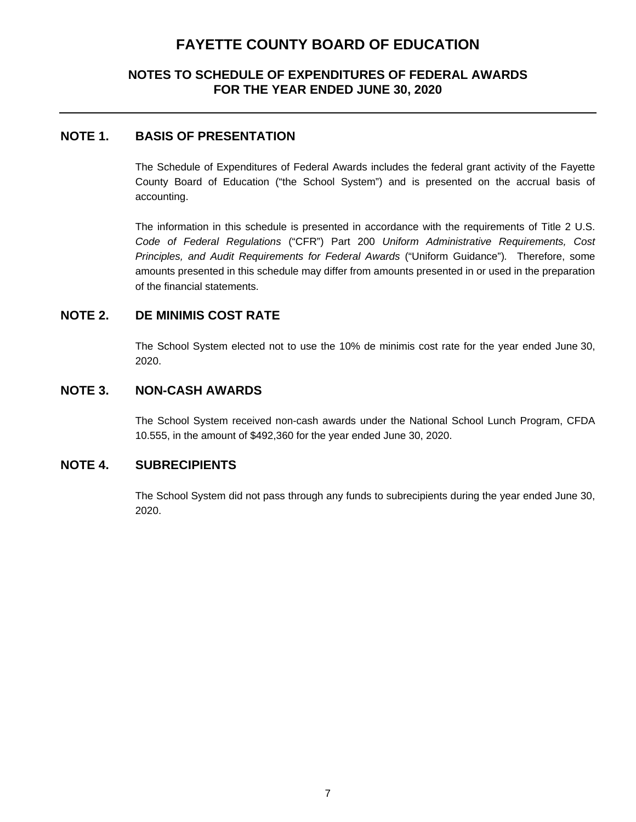## **NOTES TO SCHEDULE OF EXPENDITURES OF FEDERAL AWARDS FOR THE YEAR ENDED JUNE 30, 2020**

## **NOTE 1. BASIS OF PRESENTATION**

The Schedule of Expenditures of Federal Awards includes the federal grant activity of the Fayette County Board of Education ("the School System") and is presented on the accrual basis of accounting.

The information in this schedule is presented in accordance with the requirements of Title 2 U.S. *Code of Federal Regulations* ("CFR") Part 200 *Uniform Administrative Requirements, Cost Principles, and Audit Requirements for Federal Awards* ("Uniform Guidance")*.* Therefore, some amounts presented in this schedule may differ from amounts presented in or used in the preparation of the financial statements.

### **NOTE 2. DE MINIMIS COST RATE**

The School System elected not to use the 10% de minimis cost rate for the year ended June 30, 2020.

### **NOTE 3. NON-CASH AWARDS**

The School System received non-cash awards under the National School Lunch Program, CFDA 10.555, in the amount of \$492,360 for the year ended June 30, 2020.

### **NOTE 4. SUBRECIPIENTS**

The School System did not pass through any funds to subrecipients during the year ended June 30, 2020.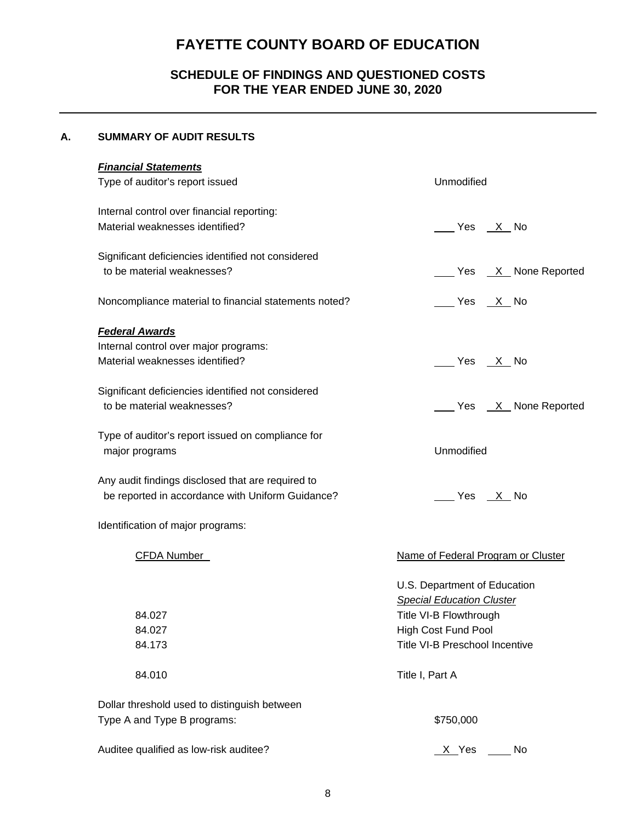## **SCHEDULE OF FINDINGS AND QUESTIONED COSTS FOR THE YEAR ENDED JUNE 30, 2020**

### **A. SUMMARY OF AUDIT RESULTS**

| <b>Financial Statements</b>                           |                                       |  |  |
|-------------------------------------------------------|---------------------------------------|--|--|
| Type of auditor's report issued                       | Unmodified                            |  |  |
| Internal control over financial reporting:            |                                       |  |  |
| Material weaknesses identified?                       | Yes X No                              |  |  |
| Significant deficiencies identified not considered    |                                       |  |  |
| to be material weaknesses?                            | Yes X None Reported                   |  |  |
| Noncompliance material to financial statements noted? | No Yes X No                           |  |  |
| <b>Federal Awards</b>                                 |                                       |  |  |
| Internal control over major programs:                 |                                       |  |  |
| Material weaknesses identified?                       |                                       |  |  |
| Significant deficiencies identified not considered    |                                       |  |  |
| to be material weaknesses?                            | Yes X None Reported                   |  |  |
| Type of auditor's report issued on compliance for     |                                       |  |  |
| major programs                                        | Unmodified                            |  |  |
| Any audit findings disclosed that are required to     |                                       |  |  |
| be reported in accordance with Uniform Guidance?      | _____Yes ___ <u>X</u> __No            |  |  |
| Identification of major programs:                     |                                       |  |  |
| CFDA Number                                           | Name of Federal Program or Cluster    |  |  |
|                                                       | U.S. Department of Education          |  |  |
|                                                       | <b>Special Education Cluster</b>      |  |  |
| 84.027                                                | Title VI-B Flowthrough                |  |  |
| 84.027                                                | High Cost Fund Pool                   |  |  |
| 84.173                                                | <b>Title VI-B Preschool Incentive</b> |  |  |
| 84.010                                                | Title I, Part A                       |  |  |
| Dollar threshold used to distinguish between          |                                       |  |  |
| Type A and Type B programs:                           | \$750,000                             |  |  |
| Auditee qualified as low-risk auditee?                | <u>_X _</u> Yes<br>No                 |  |  |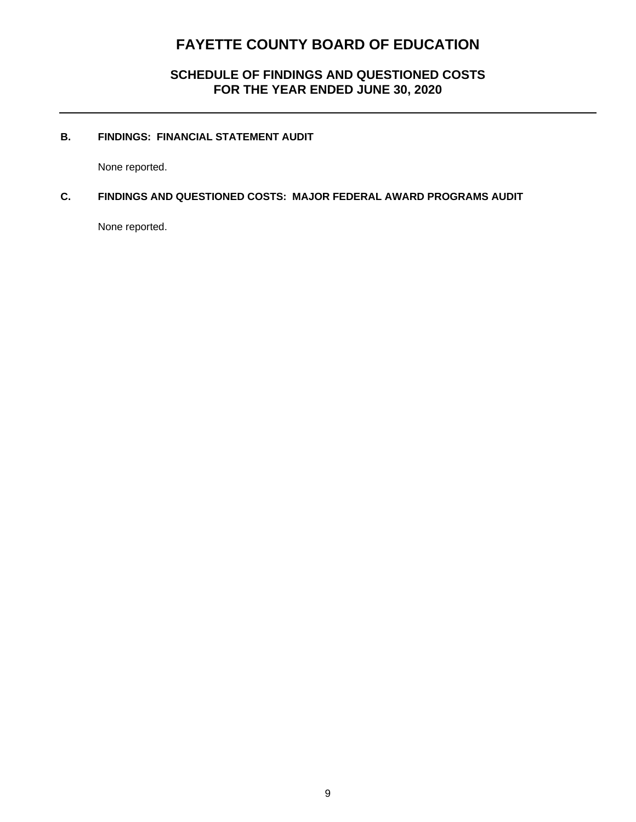## **SCHEDULE OF FINDINGS AND QUESTIONED COSTS FOR THE YEAR ENDED JUNE 30, 2020**

### **B. FINDINGS: FINANCIAL STATEMENT AUDIT**

None reported.

## **C. FINDINGS AND QUESTIONED COSTS: MAJOR FEDERAL AWARD PROGRAMS AUDIT**

None reported.